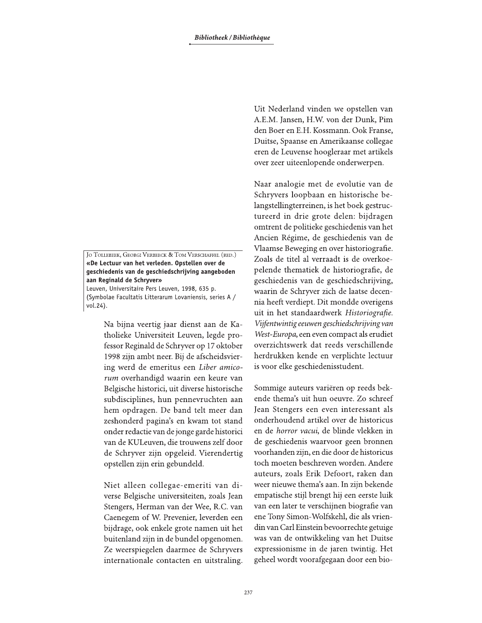JO TOLLEBEEK, GEORGI VERBEECK & TOM VERSCHAFFEL (RED.) «De Lectuur van het verleden. Opstellen over de geschiedenis van de geschiedschrijving aangeboden aan Reginald de Schryver»

Leuven, Universitaire Pers Leuven, 1998, 635 p. (Symbolae Facultatis Litterarum Lovaniensis, series A / vol.24).

> Na bijna veertig jaar dienst aan de Katholieke Universiteit Leuven, legde professor Reginald de Schryver op 17 oktober 1998 zijn ambt neer. Bij de afscheidsviering werd de emeritus een Liber amicorum overhandigd waarin een keure van Belgische historici, uit diverse historische subdisciplines, hun pennevruchten aan hem opdragen. De band telt meer dan zeshonderd pagina's en kwam tot stand onder redactie van de jonge garde historici van de KULeuven, die trouwens zelf door de Schryver zijn opgeleid. Vierendertig opstellen zijn erin gebundeld.

> Niet alleen collegae-emeriti van diverse Belgische universiteiten, zoals Jean Stengers, Herman van der Wee, R.C. van Caenegem of W. Prevenier, leverden een bijdrage, ook enkele grote namen uit het buitenland zijn in de bundel opgenomen. Ze weerspiegelen daarmee de Schryvers internationale contacten en uitstraling.

Uit Nederland vinden we opstellen van A.E.M. Jansen, H.W. von der Dunk, Pim den Boer en E.H. Kossmann. Ook Franse, Duitse, Spaanse en Amerikaanse collegae eren de Leuvense hoogleraar met artikels over zeer uiteenlopende onderwerpen.

Naar analogie met de evolutie van de Schryvers loopbaan en historische belangstellingterreinen, is het boek gestructureerd in drie grote delen: bijdragen omtrent de politieke geschiedenis van het Ancien Régime, de geschiedenis van de Vlaamse Beweging en over historiografie. Zoals de titel al verraadt is de overkoepelende thematiek de historiografie, de geschiedenis van de geschiedschrijving, waarin de Schryver zich de laatse decennia heeft verdiept. Dit mondde overigens uit in het standaardwerk Historiografie. Vijfentwintig eeuwen geschiedschrijving van West-Europa, een even compact als erudiet overzichtswerk dat reeds verschillende herdrukken kende en verplichte lectuur is voor elke geschiedenisstudent.

Sommige auteurs variëren op reeds bekende thema's uit hun oeuvre. Zo schreef Jean Stengers een even interessant als onderhoudend artikel over de historicus en de horror vacui, de blinde vlekken in de geschiedenis waarvoor geen bronnen voorhanden zijn, en die door de historicus toch moeten beschreven worden. Andere auteurs, zoals Erik Defoort, raken dan weer nieuwe thema's aan. In zijn bekende empatische stijl brengt hij een eerste luik van een later te verschijnen biografie van ene Tony Simon-Wolfskehl, die als vriendin van Carl Einstein bevoorrechte getuige was van de ontwikkeling van het Duitse expressionisme in de jaren twintig. Het geheel wordt voorafgegaan door een bio